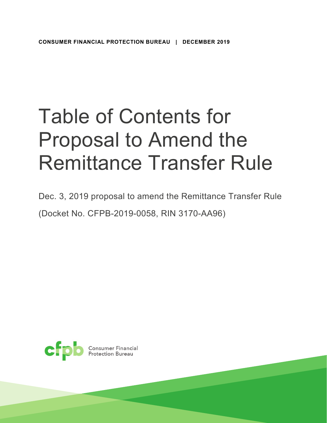## Table of Contents for Proposal to Amend the Remittance Transfer Rule

Dec. 3, 2019 proposal to amend the Remittance Transfer Rule (Docket No. CFPB-2019-0058, RIN 3170-AA96)

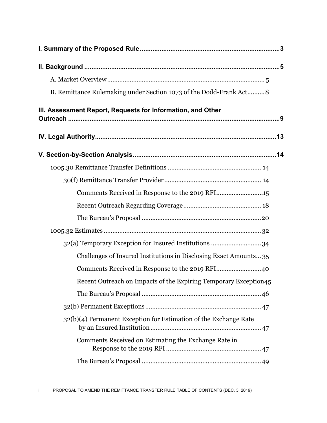| B. Remittance Rulemaking under Section 1073 of the Dodd-Frank Act 8 |
|---------------------------------------------------------------------|
| III. Assessment Report, Requests for Information, and Other         |
|                                                                     |
|                                                                     |
|                                                                     |
|                                                                     |
| Comments Received in Response to the 2019 RFI15                     |
|                                                                     |
|                                                                     |
|                                                                     |
| 32(a) Temporary Exception for Insured Institutions  34              |
| Challenges of Insured Institutions in Disclosing Exact Amounts35    |
| Comments Received in Response to the 2019 RFI40                     |
| Recent Outreach on Impacts of the Expiring Temporary Exception45    |
|                                                                     |
|                                                                     |
| 32(b)(4) Permanent Exception for Estimation of the Exchange Rate    |
| Comments Received on Estimating the Exchange Rate in                |
|                                                                     |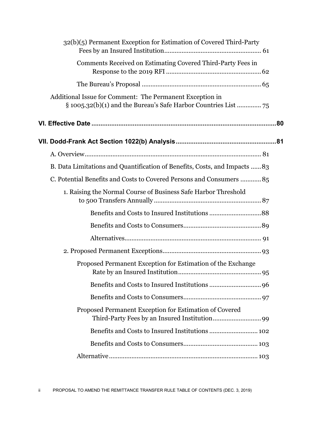| 32(b)(5) Permanent Exception for Estimation of Covered Third-Party         |  |
|----------------------------------------------------------------------------|--|
| Comments Received on Estimating Covered Third-Party Fees in                |  |
|                                                                            |  |
| Additional Issue for Comment: The Permanent Exception in                   |  |
|                                                                            |  |
|                                                                            |  |
|                                                                            |  |
| B. Data Limitations and Quantification of Benefits, Costs, and Impacts  83 |  |
| C. Potential Benefits and Costs to Covered Persons and Consumers  85       |  |
| 1. Raising the Normal Course of Business Safe Harbor Threshold             |  |
|                                                                            |  |
|                                                                            |  |
|                                                                            |  |
|                                                                            |  |
| Proposed Permanent Exception for Estimation of the Exchange                |  |
|                                                                            |  |
|                                                                            |  |
| Proposed Permanent Exception for Estimation of Covered                     |  |
|                                                                            |  |
|                                                                            |  |
|                                                                            |  |